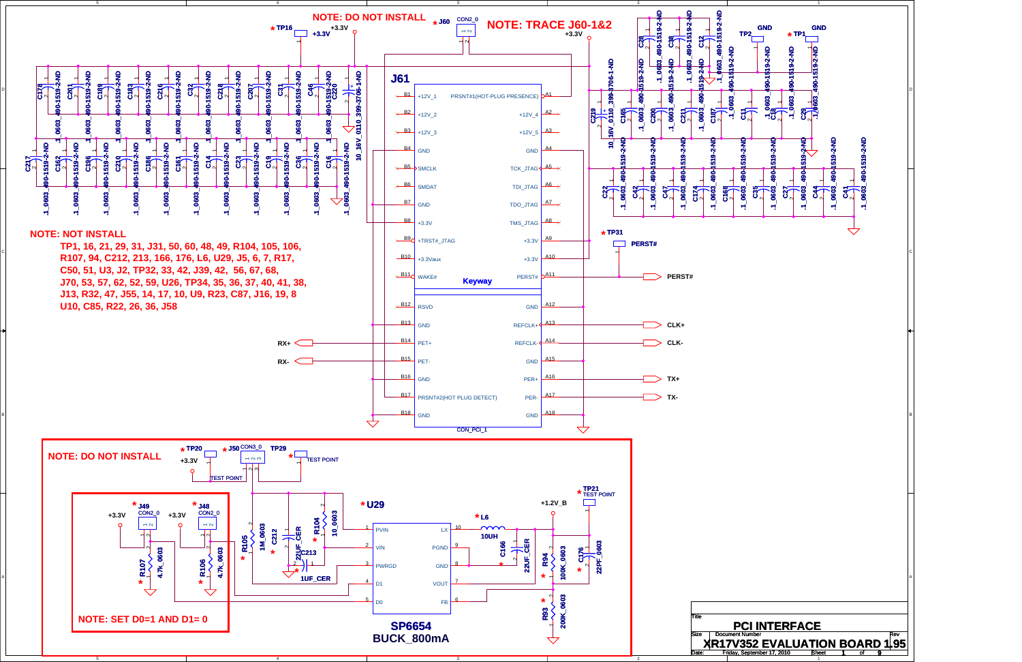

D

C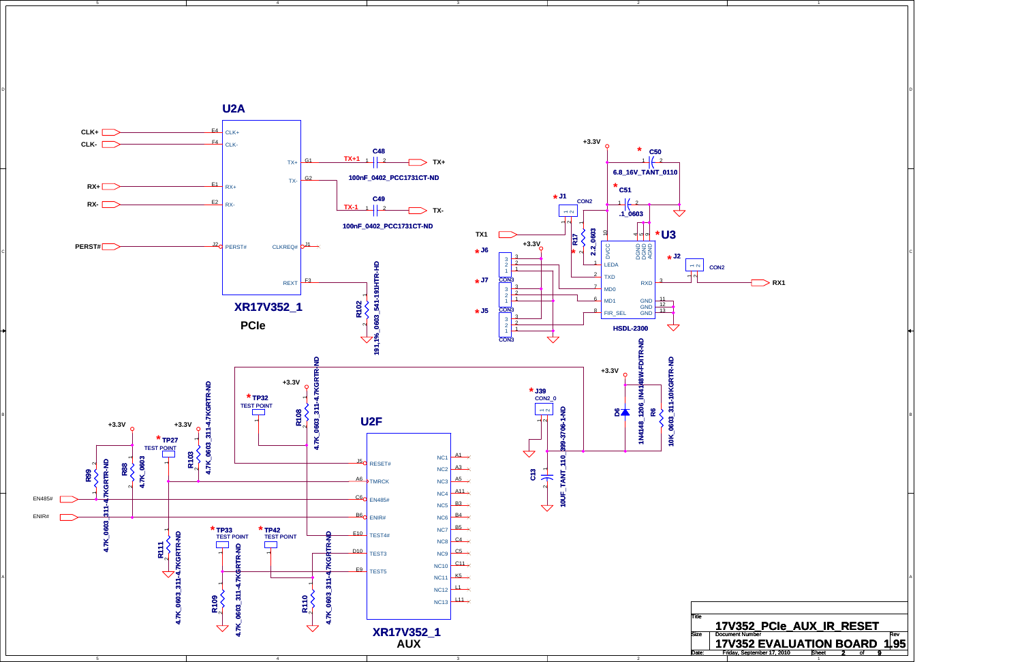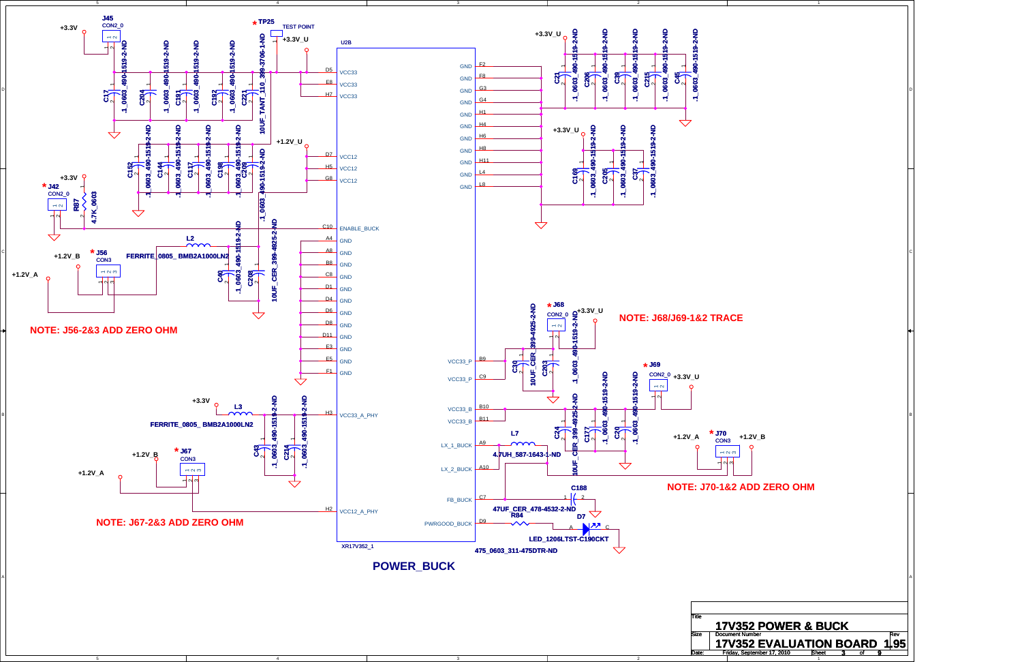

D

C



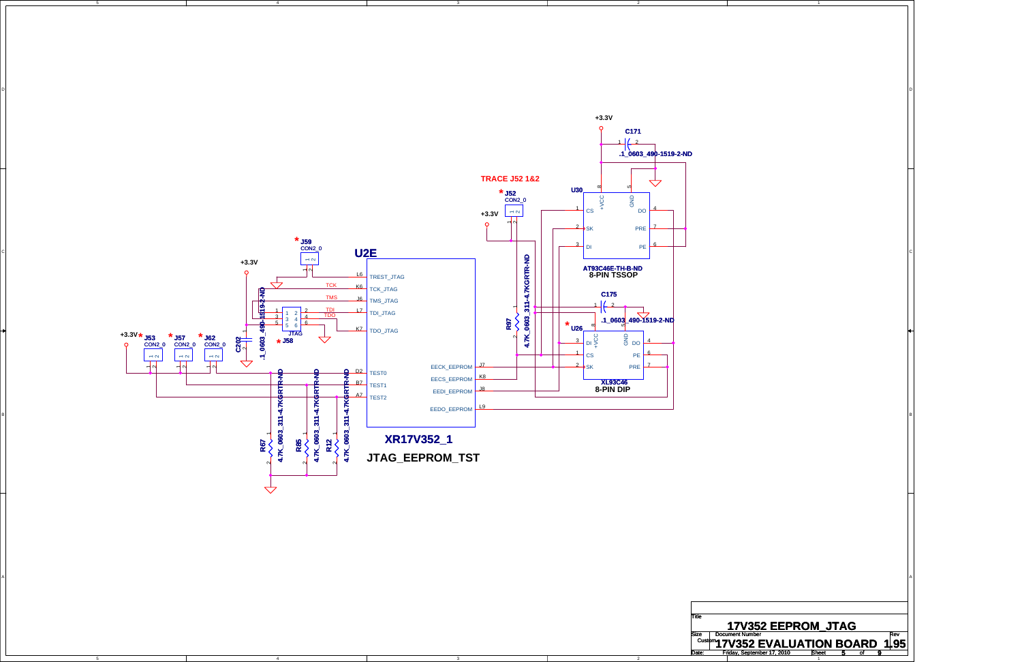4

4

5

3

3

2

2

D

C



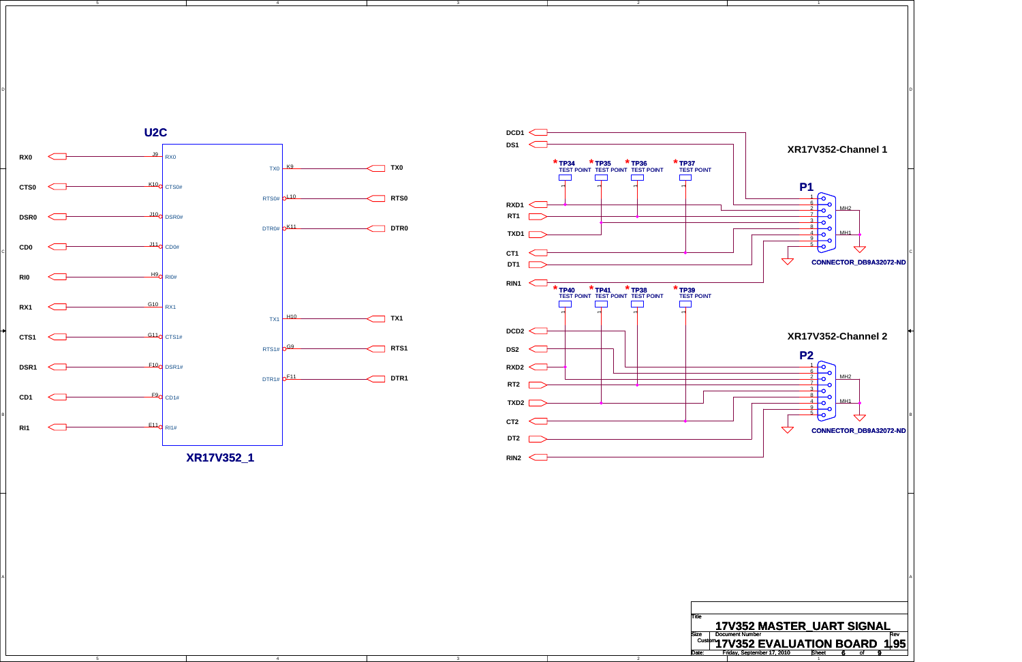5 4

5

3

3





D

C

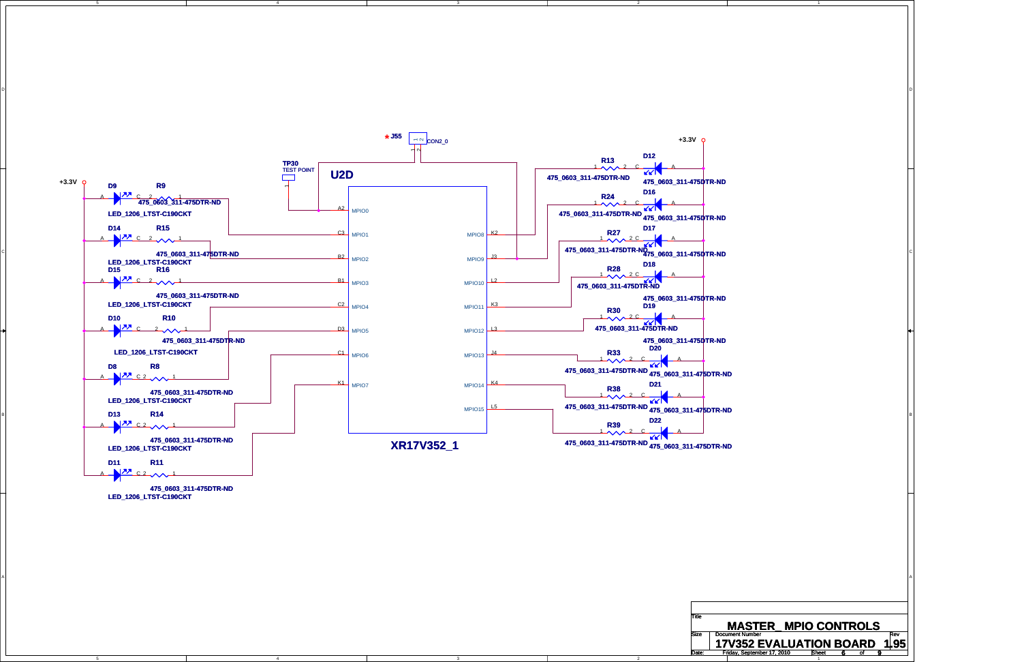5

4

4

3

3

2

2

D

C

A





**LED\_1206\_LTST-C190CKT 475\_0603\_311-475DTR-ND**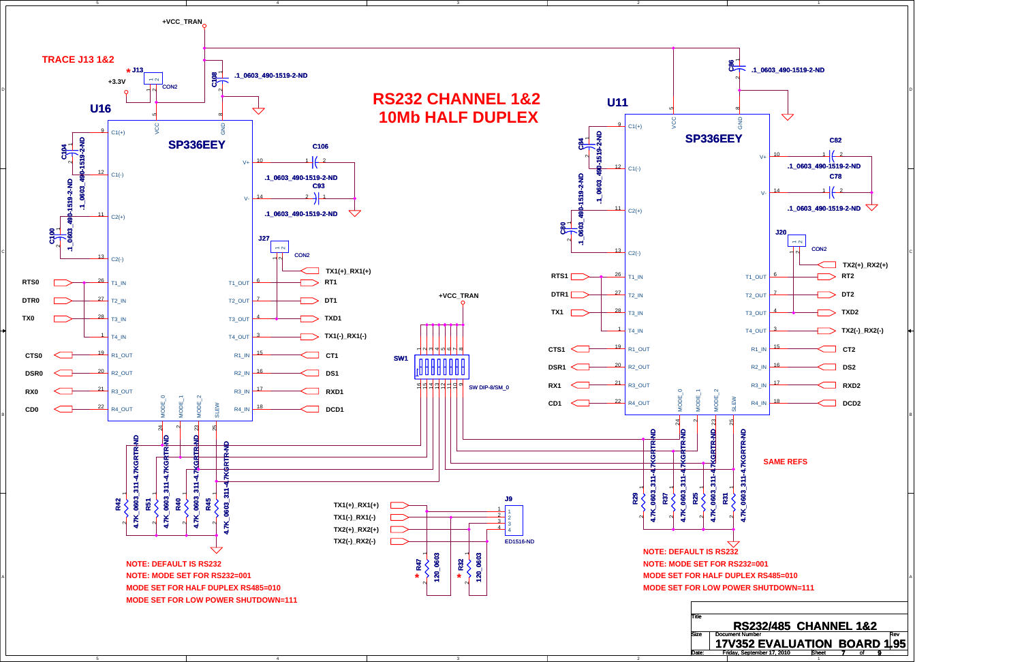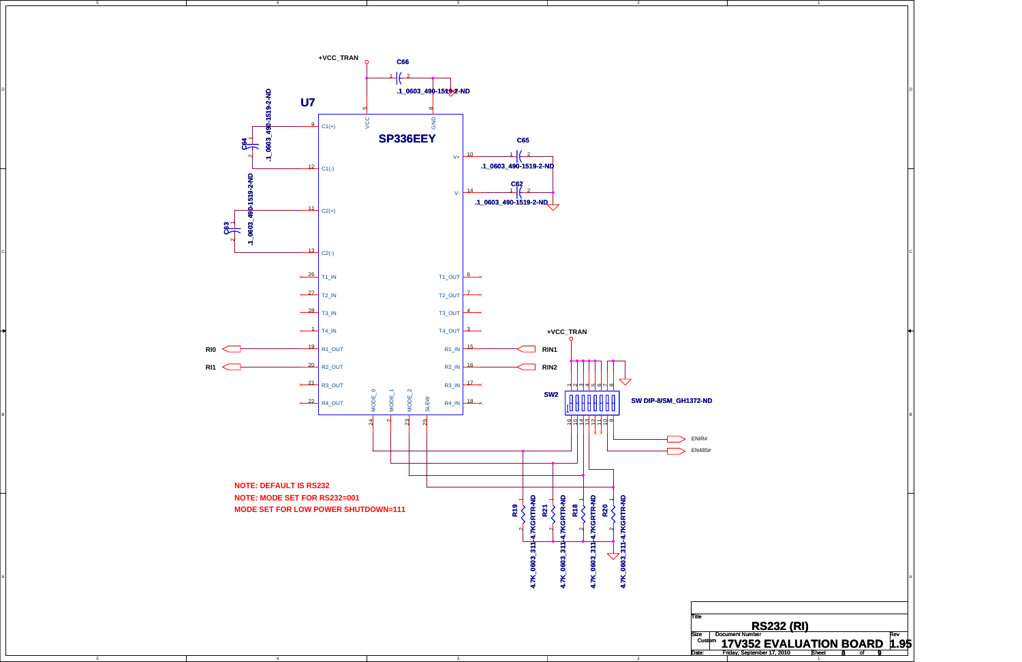4

3

2

5

D

C